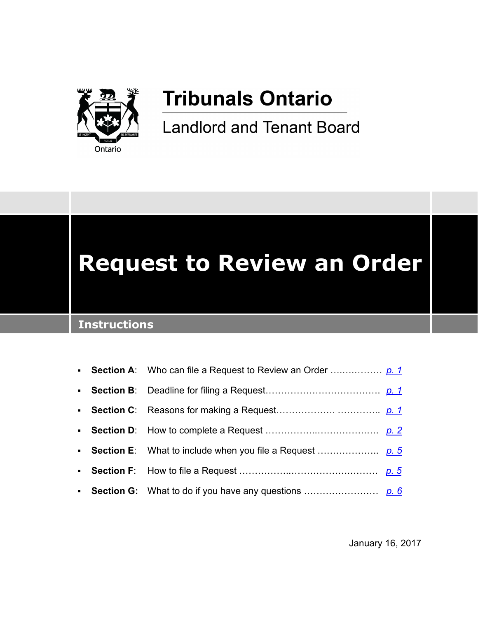

## **Tribunals Ontario**

**Landlord and Tenant Board** 

# **Request to Review an Order**

## **Instructions**

January 16, 2017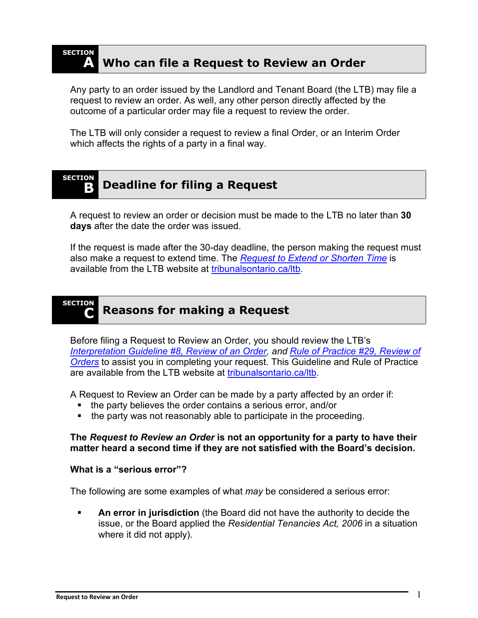

## <span id="page-1-0"></span>**A Who can file a Request to Review an Order**

Any party to an order issued by the Landlord and Tenant Board (the LTB) may file a request to review an order. As well, any other person directly affected by the outcome of a particular order may file a request to review the order.

The LTB will only consider a request to review a final Order, or an Interim Order which affects the rights of a party in a final way.

#### <span id="page-1-1"></span>**SECTION B** Deadline for filing a Request

A request to review an order or decision must be made to the LTB no later than **30 days** after the date the order was issued.

If the request is made after the 30-day deadline, the person making the request must also make a request to extend time. The *[Request to Extend or Shorten Time](https://tribunalsontario.ca/ltb/forms/)* is available from the LTB website at [tribunalsontario.ca/ltb.](https://tribunalsontario.ca/ltb)

#### <span id="page-1-2"></span>**SECTION C Reasons for making a Request**

Before filing a Request to Review an Order, you should review the LTB's *[Interpretation Guideline #8, Review of an Order,](https://tribunalsontario.ca/documents/ltb/Interpretation%20Guidelines/08%20-%20Review%20of%20an%20Order.html) and [Rule of Practice #29, Review of](https://tribunalsontario.ca/documents/ltb/Rules/LTB%20Rules%20of%20Practice.html)  [Orders](https://tribunalsontario.ca/documents/ltb/Rules/LTB%20Rules%20of%20Practice.html)* to assist you in completing your request. This Guideline and Rule of Practice are available from the LTB website at [tribunalsontario.ca/ltb.](https://tribunalsontario.ca/ltb)

A Request to Review an Order can be made by a party affected by an order if:

- the party believes the order contains a serious error, and/or
- the party was not reasonably able to participate in the proceeding.

#### **The** *Request to Review an Order* **is not an opportunity for a party to have their matter heard a second time if they are not satisfied with the Board's decision.**

#### **What is a "serious error"?**

The following are some examples of what *may* be considered a serious error:

 **An error in jurisdiction** (the Board did not have the authority to decide the issue, or the Board applied the *Residential Tenancies Act, 2006* in a situation where it did not apply).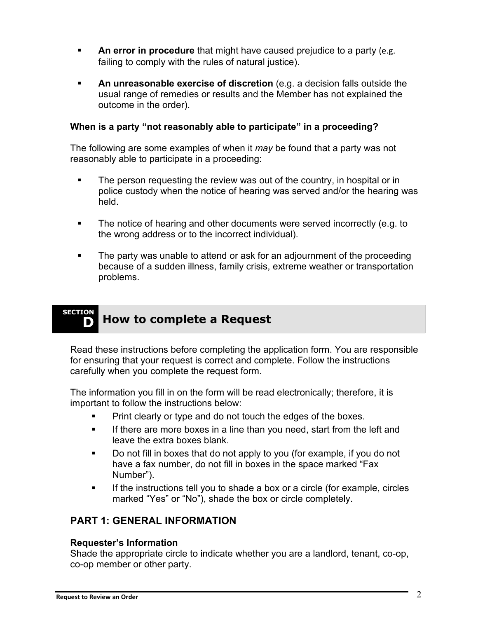- **An error in procedure** that might have caused prejudice to a party (e.g. failing to comply with the rules of natural justice).
- **An unreasonable exercise of discretion** (e.g. a decision falls outside the usual range of remedies or results and the Member has not explained the outcome in the order).

#### **When is a party "not reasonably able to participate" in a proceeding?**

The following are some examples of when it *may* be found that a party was not reasonably able to participate in a proceeding:

- The person requesting the review was out of the country, in hospital or in police custody when the notice of hearing was served and/or the hearing was held.
- The notice of hearing and other documents were served incorrectly (e.g. to the wrong address or to the incorrect individual).
- **The party was unable to attend or ask for an adjournment of the proceeding** because of a sudden illness, family crisis, extreme weather or transportation problems.

#### <span id="page-2-0"></span>**SECTION D** How to complete a Request

Read these instructions before completing the application form. You are responsible for ensuring that your request is correct and complete. Follow the instructions carefully when you complete the request form.

The information you fill in on the form will be read electronically; therefore, it is important to follow the instructions below:

- Print clearly or type and do not touch the edges of the boxes.
- **If there are more boxes in a line than you need, start from the left and** leave the extra boxes blank.
- Do not fill in boxes that do not apply to you (for example, if you do not have a fax number, do not fill in boxes in the space marked "Fax Number").
- If the instructions tell you to shade a box or a circle (for example, circles marked "Yes" or "No"), shade the box or circle completely.

### **PART 1: GENERAL INFORMATION**

#### **Requester's Information**

Shade the appropriate circle to indicate whether you are a landlord, tenant, co-op, co-op member or other party.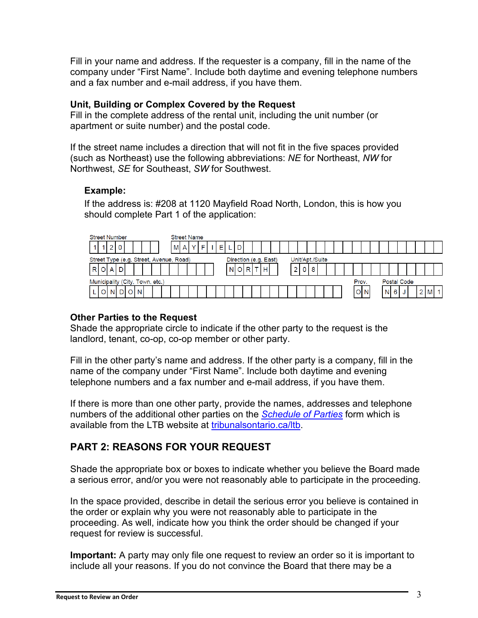Fill in your name and address. If the requester is a company, fill in the name of the company under "First Name". Include both daytime and evening telephone numbers and a fax number and e-mail address, if you have them.

#### **Unit, Building or Complex Covered by the Request**

Fill in the complete address of the rental unit, including the unit number (or apartment or suite number) and the postal code.

If the street name includes a direction that will not fit in the five spaces provided (such as Northeast) use the following abbreviations: *NE* for Northeast, *NW* for Northwest, *SE* for Southeast, *SW* for Southwest.

#### **Example:**

If the address is: #208 at 1120 Mayfield Road North, London, this is how you should complete Part 1 of the application:



#### **Other Parties to the Request**

Shade the appropriate circle to indicate if the other party to the request is the landlord, tenant, co-op, co-op member or other party.

Fill in the other party's name and address. If the other party is a company, fill in the name of the company under "First Name". Include both daytime and evening telephone numbers and a fax number and e-mail address, if you have them.

If there is more than one other party, provide the names, addresses and telephone numbers of the additional other parties on the *[Schedule of Parties](https://tribunalsontario.ca/ltb/forms/)* form which is available from the LTB website at [tribunalsontario.ca/ltb.](https://tribunalsontario.ca/ltb)

## **PART 2: REASONS FOR YOUR REQUEST**

Shade the appropriate box or boxes to indicate whether you believe the Board made a serious error, and/or you were not reasonably able to participate in the proceeding.

In the space provided, describe in detail the serious error you believe is contained in the order or explain why you were not reasonably able to participate in the proceeding. As well, indicate how you think the order should be changed if your request for review is successful.

**Important:** A party may only file one request to review an order so it is important to include all your reasons. If you do not convince the Board that there may be a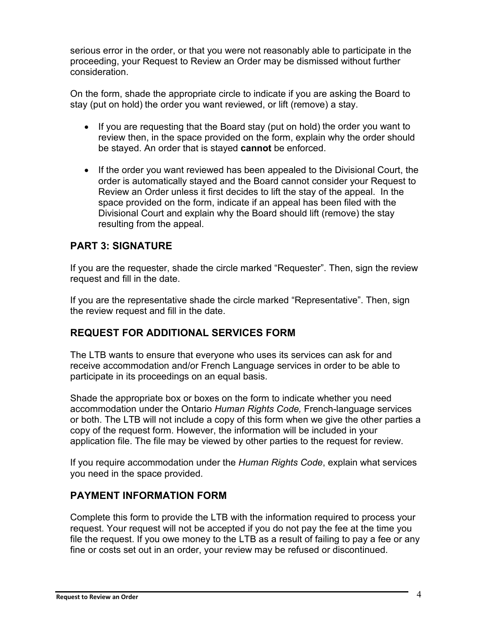serious error in the order, or that you were not reasonably able to participate in the proceeding, your Request to Review an Order may be dismissed without further consideration.

On the form, shade the appropriate circle to indicate if you are asking the Board to stay (put on hold) the order you want reviewed, or lift (remove) a stay.

- If you are requesting that the Board stay (put on hold) the order you want to review then, in the space provided on the form, explain why the order should be stayed. An order that is stayed **cannot** be enforced.
- If the order you want reviewed has been appealed to the Divisional Court, the order is automatically stayed and the Board cannot consider your Request to Review an Order unless it first decides to lift the stay of the appeal. In the space provided on the form, indicate if an appeal has been filed with the Divisional Court and explain why the Board should lift (remove) the stay resulting from the appeal.

## **PART 3: SIGNATURE**

If you are the requester, shade the circle marked "Requester". Then, sign the review request and fill in the date.

If you are the representative shade the circle marked "Representative". Then, sign the review request and fill in the date.

## **REQUEST FOR ADDITIONAL SERVICES FORM**

The LTB wants to ensure that everyone who uses its services can ask for and receive accommodation and/or French Language services in order to be able to participate in its proceedings on an equal basis.

Shade the appropriate box or boxes on the form to indicate whether you need accommodation under the Ontario *Human Rights Code,* French-language services or both. The LTB will not include a copy of this form when we give the other parties a copy of the request form. However, the information will be included in your application file. The file may be viewed by other parties to the request for review.

If you require accommodation under the *Human Rights Code*, explain what services you need in the space provided.

### **PAYMENT INFORMATION FORM**

Complete this form to provide the LTB with the information required to process your request. Your request will not be accepted if you do not pay the fee at the time you file the request. If you owe money to the LTB as a result of failing to pay a fee or any fine or costs set out in an order, your review may be refused or discontinued.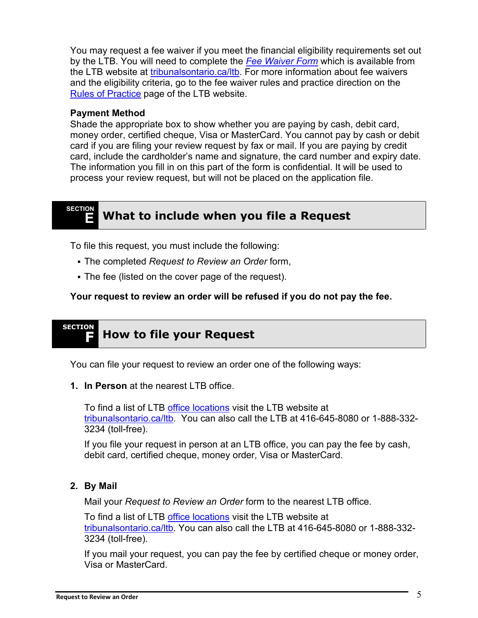You may request a fee waiver if you meet the financial eligibility requirements set out by the LTB. You will need to complete the *[Fee Waiver Form](https://tribunalsontario.ca/ltb/forms/)* which is available from the LTB website at [tribunalsontario.ca/ltb.](https://tribunalsontario.ca/ltb) For more information about fee waivers and the eligibility criteria, go to the fee waiver rules and practice direction on the [Rules of Practice](https://tribunalsontario.ca/ltb/rules-practice-directions-guidelines/) page of the LTB website.

#### **Payment Method**

Shade the appropriate box to show whether you are paying by cash, debit card, money order, certified cheque, Visa or MasterCard. You cannot pay by cash or debit card if you are filing your review request by fax or mail. If you are paying by credit card, include the cardholder's name and signature, the card number and expiry date. The information you fill in on this part of the form is confidential. It will be used to process your review request, but will not be placed on the application file.

#### <span id="page-5-0"></span>**SECTION E What to include when you file a Request**

To file this request, you must include the following:

- The completed *Request to Review an Order* form,
- The fee (listed on the cover page of the request).

**Your request to review an order will be refused if you do not pay the fee.**

#### <span id="page-5-1"></span>**SECTION F How to file your Request**

You can file your request to review an order one of the following ways:

**1. In Person** at the nearest LTB office.

To find a list of LTB [office locations](https://tribunalsontario.ca/ltb/contact/) visit the LTB website at [tribunalsontario.ca/ltb.](https://tribunalsontario.ca/ltb) You can also call the LTB at 416-645-8080 or 1-888-332- 3234 (toll-free).

If you file your request in person at an LTB office, you can pay the fee by cash, debit card, certified cheque, money order, Visa or MasterCard.

#### **2. By Mail**

Mail your *Request to Review an Order* form to the nearest LTB office.

To find a list of LTB [office locations](https://tribunalsontario.ca/ltb/contact/) visit the LTB website at [tribunalsontario.ca/ltb.](https://tribunalsontario.ca/ltb) You can also call the LTB at 416-645-8080 or 1-888-332- 3234 (toll-free).

If you mail your request, you can pay the fee by certified cheque or money order, Visa or MasterCard.